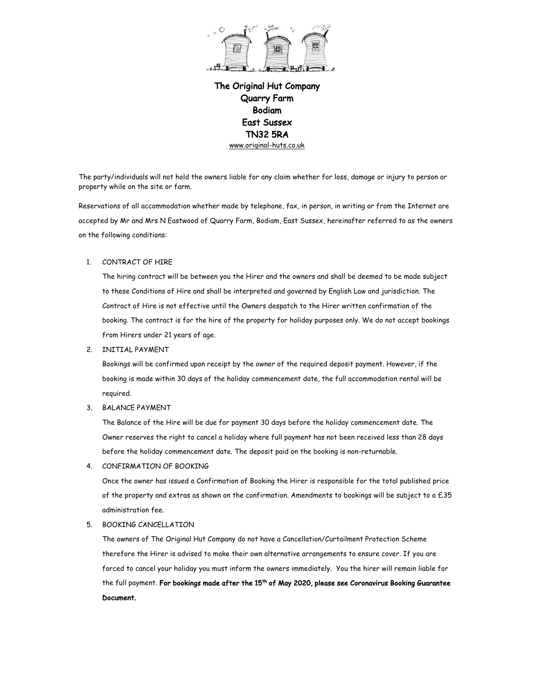

The party/individuals will not hold the owners liable for any claim whether for loss, damage or injury to person or property while on the site or farm.

Reservations of all accommodation whether made by telephone, fax, in person, in writing or from the Internet are accepted by Mr and Mrs N Eastwood of Quarry Farm, Bodiam, East Sussex, hereinafter referred to as the owners on the following conditions:

## 1. CONTRACT OF HIRE

The hiring contract will be between you the Hirer and the owners and shall be deemed to be made subject to these Conditions of Hire and shall be interpreted and governed by English Law and jurisdiction. The Contract of Hire is not effective until the Owners despatch to the Hirer written confirmation of the booking. The contract is for the hire of the property for holiday purposes only. We do not accept bookings from Hirers under 21 years of age.

2. INITIAL PAYMENT

Bookings will be confirmed upon receipt by the owner of the required deposit payment. However, if the booking is made within 30 days of the holiday commencement date, the full accommodation rental will be required.

3. BALANCE PAYMENT

The Balance of the Hire will be due for payment 30 days before the holiday commencement date. The Owner reserves the right to cancel a holiday where full payment has not been received less than 28 days before the holiday commencement date. The deposit paid on the booking is non-returnable.

4. CONFIRMATION OF BOOKING

Once the owner has issued a Confirmation of Booking the Hirer is responsible for the total published price of the property and extras as shown on the confirmation. Amendments to bookings will be subject to a £35 administration fee.

5. BOOKING CANCELLATION

The owners of The Original Hut Company do not have a Cancellation/Curtailment Protection Scheme therefore the Hirer is advised to make their own alternative arrangements to ensure cover. If you are forced to cancel your holiday you must inform the owners immediately. You the hirer will remain liable for the full payment. For bookings made after the 15<sup>th</sup> of May 2020, please see Coronavirus Booking Guarantee Document.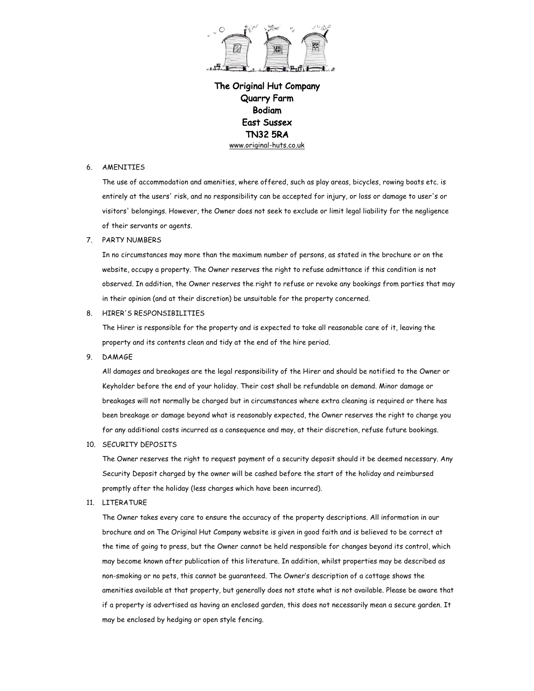

## 6. AMENITIES

The use of accommodation and amenities, where offered, such as play areas, bicycles, rowing boats etc. is entirely at the users' risk, and no responsibility can be accepted for injury, or loss or damage to user's or visitors' belongings. However, the Owner does not seek to exclude or limit legal liability for the negligence of their servants or agents.

## 7. PARTY NUMBERS

In no circumstances may more than the maximum number of persons, as stated in the brochure or on the website, occupy a property. The Owner reserves the right to refuse admittance if this condition is not observed. In addition, the Owner reserves the right to refuse or revoke any bookings from parties that may in their opinion (and at their discretion) be unsuitable for the property concerned.

8. HIRER'S RESPONSIBILITIES

The Hirer is responsible for the property and is expected to take all reasonable care of it, leaving the property and its contents clean and tidy at the end of the hire period.

9. DAMAGE

All damages and breakages are the legal responsibility of the Hirer and should be notified to the Owner or Keyholder before the end of your holiday. Their cost shall be refundable on demand. Minor damage or breakages will not normally be charged but in circumstances where extra cleaning is required or there has been breakage or damage beyond what is reasonably expected, the Owner reserves the right to charge you for any additional costs incurred as a consequence and may, at their discretion, refuse future bookings.

10. SECURITY DEPOSITS

The Owner reserves the right to request payment of a security deposit should it be deemed necessary. Any Security Deposit charged by the owner will be cashed before the start of the holiday and reimbursed promptly after the holiday (less charges which have been incurred).

11. LITERATURE

The Owner takes every care to ensure the accuracy of the property descriptions. All information in our brochure and on The Original Hut Company website is given in good faith and is believed to be correct at the time of going to press, but the Owner cannot be held responsible for changes beyond its control, which may become known after publication of this literature. In addition, whilst properties may be described as non-smoking or no pets, this cannot be guaranteed. The Owner's description of a cottage shows the amenities available at that property, but generally does not state what is not available. Please be aware that if a property is advertised as having an enclosed garden, this does not necessarily mean a secure garden. It may be enclosed by hedging or open style fencing.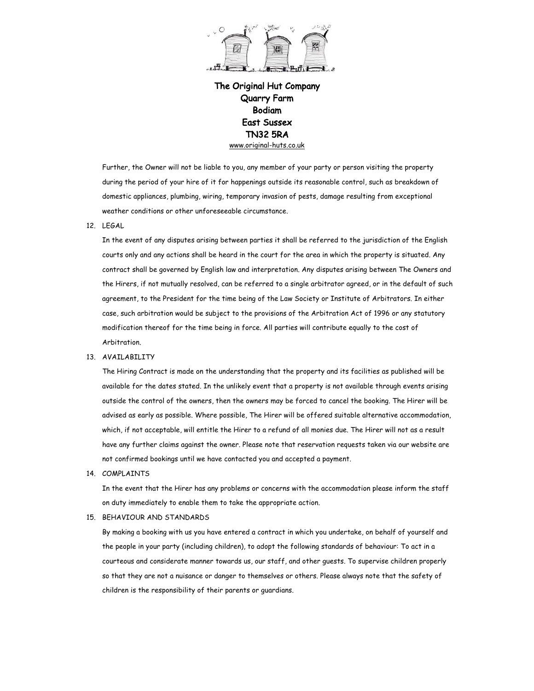

Further, the Owner will not be liable to you, any member of your party or person visiting the property during the period of your hire of it for happenings outside its reasonable control, such as breakdown of domestic appliances, plumbing, wiring, temporary invasion of pests, damage resulting from exceptional weather conditions or other unforeseeable circumstance.

12. LEGAL

In the event of any disputes arising between parties it shall be referred to the jurisdiction of the English courts only and any actions shall be heard in the court for the area in which the property is situated. Any contract shall be governed by English law and interpretation. Any disputes arising between The Owners and the Hirers, if not mutually resolved, can be referred to a single arbitrator agreed, or in the default of such agreement, to the President for the time being of the Law Society or Institute of Arbitrators. In either case, such arbitration would be subject to the provisions of the Arbitration Act of 1996 or any statutory modification thereof for the time being in force. All parties will contribute equally to the cost of Arbitration.

## 13. AVAILABILITY

The Hiring Contract is made on the understanding that the property and its facilities as published will be available for the dates stated. In the unlikely event that a property is not available through events arising outside the control of the owners, then the owners may be forced to cancel the booking. The Hirer will be advised as early as possible. Where possible, The Hirer will be offered suitable alternative accommodation, which, if not acceptable, will entitle the Hirer to a refund of all monies due. The Hirer will not as a result have any further claims against the owner. Please note that reservation requests taken via our website are not confirmed bookings until we have contacted you and accepted a payment.

14. COMPLAINTS

In the event that the Hirer has any problems or concerns with the accommodation please inform the staff on duty immediately to enable them to take the appropriate action.

15. BEHAVIOUR AND STANDARDS

By making a booking with us you have entered a contract in which you undertake, on behalf of yourself and the people in your party (including children), to adopt the following standards of behaviour: To act in a courteous and considerate manner towards us, our staff, and other guests. To supervise children properly so that they are not a nuisance or danger to themselves or others. Please always note that the safety of children is the responsibility of their parents or guardians.